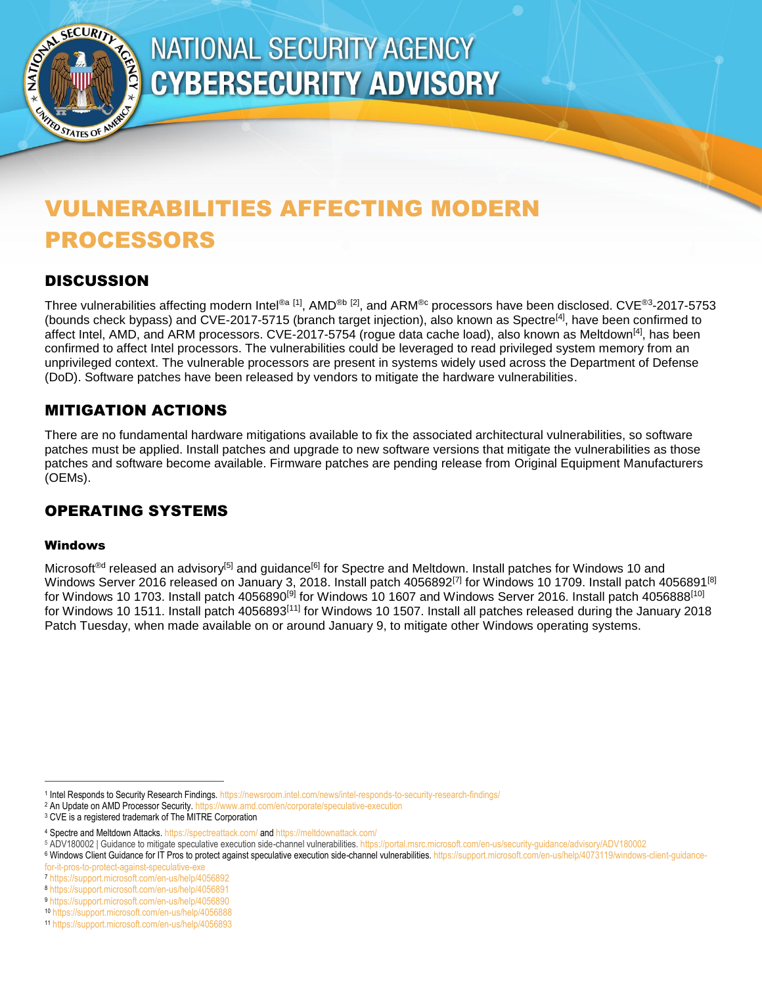

# <span id="page-0-0"></span>**NATIONAL SECURITY AGENCY CYBERSECURITY ADVISORY**

## VULNERABILITIES AFFECTING MODERN PROCESSORS

## **DISCUSSION**

Three vulnerabilities affecting modern Intel®a [1], AMD®b [2], and ARM®c processors have been disclosed. CVE®3-2017-5753 (bounds check bypass) and CVE-2017-5715 (branch target injection), also known as Spectre<sup>[4]</sup>, have been confirmed to affect Intel, AMD, and ARM processors. CVE-2017-5754 (rogue data cache load), also known as Meltdown<sup>[\[4\]](#page-0-0)</sup>, has been confirmed to affect Intel processors. The vulnerabilities could be leveraged to read privileged system memory from an unprivileged context. The vulnerable processors are present in systems widely used across the Department of Defense (DoD). Software patches have been released by vendors to mitigate the hardware vulnerabilities.

## MITIGATION ACTIONS

There are no fundamental hardware mitigations available to fix the associated architectural vulnerabilities, so software patches must be applied. Install patches and upgrade to new software versions that mitigate the vulnerabilities as those patches and software become available. Firmware patches are pending release from Original Equipment Manufacturers (OEMs).

## OPERATING SYSTEMS

#### Windows

 $\overline{a}$ 

Microsoft<sup>®d</sup> released an advisory<sup>[5]</sup> and guidance<sup>[6]</sup> for Spectre and Meltdown. Install patches for Windows 10 and Windows Server 2016 released on January 3, 2018. Install patch 4056892<sup>[7]</sup> for Windows 10 1709. Install patch 4056891<sup>[8]</sup> for Windows 10 1703. Install patch 4056890 $^{[9]}$  for Windows 10 1607 and Windows Server 2016. Install patch 4056888 $^{[10]}$ for Windows 10 1511. Install patch 4056893<sup>[11]</sup> for Windows 10 1507. Install all patches released during the January 2018 Patch Tuesday, when made available on or around January 9, to mitigate other Windows operating systems.

<sup>1</sup> Intel Responds to Security Research Findings. https://newsroom.intel.com/news/intel-responds-to-security-research-findings/

<sup>&</sup>lt;sup>2</sup> An Update on AMD Processor Security. https://www.amd.com/en/corporate/speculative-execution

<sup>&</sup>lt;sup>3</sup> CVE is a registered trademark of The MITRE Corporation

<sup>4</sup> Spectre and Meltdown Attacks. https://spectreattack.com/ and https://meltdownattack.com/

<sup>5</sup> ADV180002 | Guidance to mitigate speculative execution side-channel vulnerabilities. https://portal.msrc.microsoft.com/en-us/security-guidance/advisory/ADV180002

<sup>6</sup> Windows Client Guidance for IT Pros to protect against speculative execution side-channel vulnerabilities. https://support.microsoft.com/en-us/help/4073119/windows-client-guidancefor-it-pros-to-protect-against-speculative-

<sup>7</sup> https://support.microsoft.com/en-us/help/4056892

<sup>8</sup> https://support.microsoft.com/en-us/help/4056891

<sup>9</sup> https://support.microsoft.com/en-us/help/4056890

<sup>10</sup> https://support.microsoft.com/en-us/help/4056888

<sup>11</sup> https://support.microsoft.com/en-us/help/4056893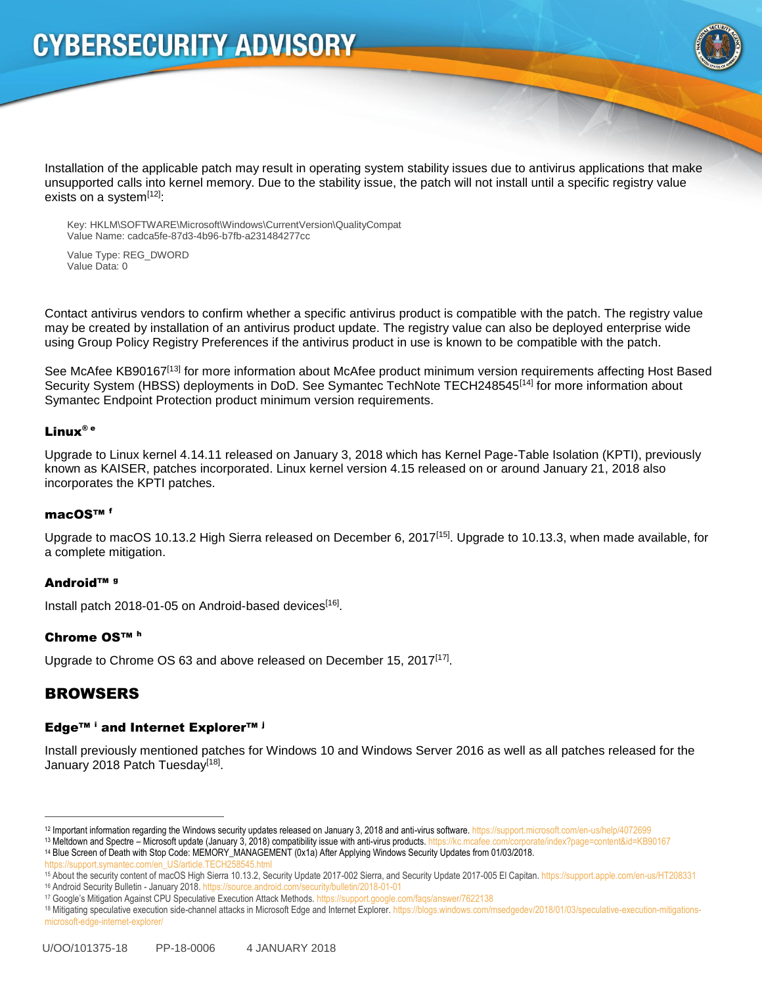

Installation of the applicable patch may result in operating system stability issues due to antivirus applications that make unsupported calls into kernel memory. Due to the stability issue, the patch will not install until a specific registry value exists on a system<sup>[12]</sup>:

Key: HKLM\SOFTWARE\Microsoft\Windows\CurrentVersion\QualityCompat Value Name: cadca5fe-87d3-4b96-b7fb-a231484277cc

Value Type: REG\_DWORD Value Data: 0

Contact antivirus vendors to confirm whether a specific antivirus product is compatible with the patch. The registry value may be created by installation of an antivirus product update. The registry value can also be deployed enterprise wide using Group Policy Registry Preferences if the antivirus product in use is known to be compatible with the patch.

See McAfee KB90167<sup>[13]</sup> for more information about McAfee product minimum version requirements affecting Host Based Security System (HBSS) deployments in DoD. See Symantec TechNote TECH248545<sup>[14]</sup> for more information about Symantec Endpoint Protection product minimum version requirements.

#### Linux® e

Upgrade to Linux kernel 4.14.11 released on January 3, 2018 which has Kernel Page-Table Isolation (KPTI), previously known as KAISER, patches incorporated. Linux kernel version 4.15 released on or around January 21, 2018 also incorporates the KPTI patches.

#### macOS™ <sup>f</sup>

Upgrade to macOS 10.13.2 High Sierra released on December 6, 2017<sup>[15]</sup>. Upgrade to 10.13.3, when made available, for a complete mitigation.

#### Android™ <sup>g</sup>

Install patch 2018-01-05 on Android-based devices<sup>[16]</sup>.

#### Chrome OS™ <sup>h</sup>

Upgrade to Chrome OS 63 and above released on December 15, 2017 $[17]$ .

### **BROWSERS**

 $\overline{a}$ 

#### Edge<sup>™ i</sup> and Internet Explorer<sup>™ j</sup>

Install previously mentioned patches for Windows 10 and Windows Server 2016 as well as all patches released for the January 2018 Patch Tuesday<sup>[18]</sup>.

<sup>&</sup>lt;sup>12</sup> Important information regarding the Windows security updates released on January 3, 2018 and anti-virus software. https://support.microsoft.com/en-us/help/4072699

<sup>&</sup>lt;sup>13</sup> Meltdown and Spectre – Microsoft update (January 3, 2018) compatibility issue with anti-virus products. https://kc.mcafee.com/corporate/index?page=content&id=KB90167 <sup>14</sup> Blue Screen of Death with Stop Code: MEMORY\_MANAGEMENT (0x1a) After Applying Windows Security Updates from 01/03/2018.

https://support.symantec.com/en\_US

<sup>15</sup> About the security content of macOS High Sierra 10.13.2, Security Update 2017-002 Sierra, and Security Update 2017-005 El Capitan. https://support.apple.com/en-us/HT208331 <sup>16</sup> Android Security Bulletin - January 2018. https://source.android.com/security/bulletin/2018-01-01

<sup>17</sup> Google's Mitigation Against CPU Speculative Execution Attack Methods. https://support.google.com/faqs/answer/7622138

<sup>18</sup> Mitigating speculative execution side-channel attacks in Microsoft Edge and Internet Explorer. https://blogs.windows.com/msedgedev/2018/01/03/speculative-execution-mitigationsmicrosoft-edge-internet-explorer/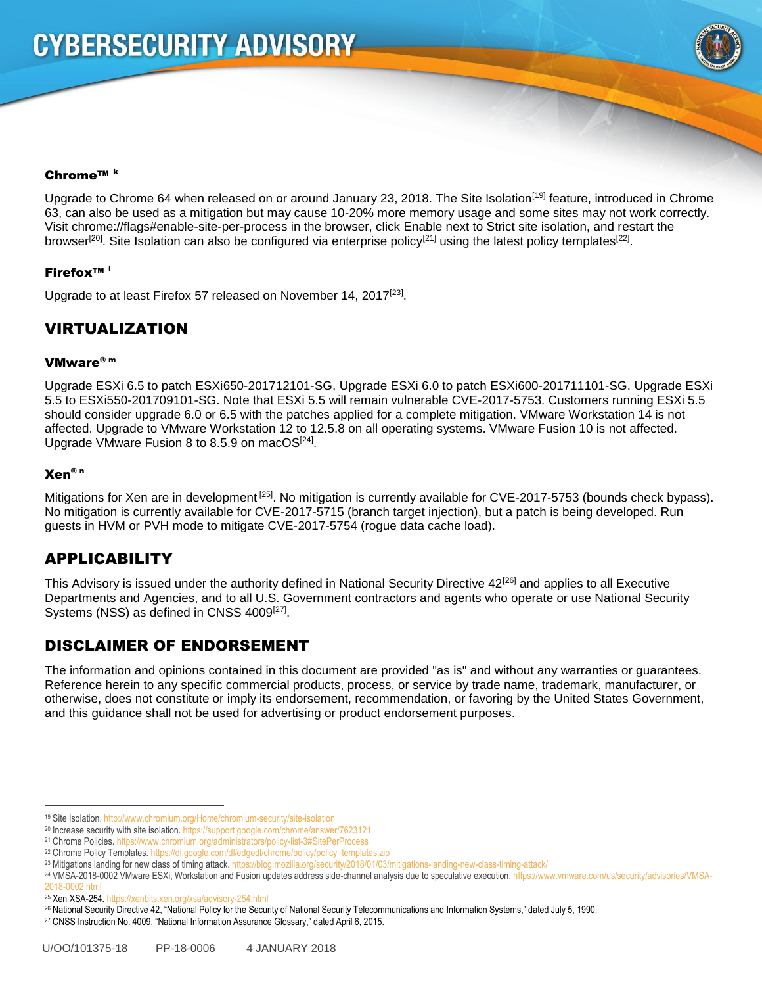

#### Chrome™ <sup>k</sup>

Upgrade to Chrome 64 when released on or around January 23, 2018. The Site Isolation<sup>[19]</sup> feature, introduced in Chrome 63, can also be used as a mitigation but may cause 10-20% more memory usage and some sites may not work correctly. Visit chrome://flags#enable-site-per-process in the browser, click Enable next to Strict site isolation, and restart the browser<sup>[20]</sup>. Site Isolation can also be configured via enterprise policy<sup>[21]</sup> using the latest policy templates<sup>[22]</sup>.

#### Firefox™ <sup>l</sup>

Upgrade to at least Firefox 57 released on November 14, 2017<sup>[23]</sup>.

## VIRTUALIZATION

#### VMware® m

Upgrade ESXi 6.5 to patch ESXi650-201712101-SG, Upgrade ESXi 6.0 to patch ESXi600-201711101-SG. Upgrade ESXi 5.5 to ESXi550-201709101-SG. Note that ESXi 5.5 will remain vulnerable CVE-2017-5753. Customers running ESXi 5.5 should consider upgrade 6.0 or 6.5 with the patches applied for a complete mitigation. VMware Workstation 14 is not affected. Upgrade to VMware Workstation 12 to 12.5.8 on all operating systems. VMware Fusion 10 is not affected. Upgrade VMware Fusion 8 to 8.5.9 on macOS $^{[24]}$ .

#### Xen® n

Mitigations for Xen are in development<sup>[25]</sup>. No mitigation is currently available for CVE-2017-5753 (bounds check bypass). No mitigation is currently available for CVE-2017-5715 (branch target injection), but a patch is being developed. Run guests in HVM or PVH mode to mitigate CVE-2017-5754 (rogue data cache load).

## APPLICABILITY

This Advisory is issued under the authority defined in National Security Directive  $42^{[26]}$  and applies to all Executive Departments and Agencies, and to all U.S. Government contractors and agents who operate or use National Security Systems (NSS) as defined in CNSS 4009<sup>[27]</sup>.

## DISCLAIMER OF ENDORSEMENT

The information and opinions contained in this document are provided "as is" and without any warranties or guarantees. Reference herein to any specific commercial products, process, or service by trade name, trademark, manufacturer, or otherwise, does not constitute or imply its endorsement, recommendation, or favoring by the United States Government, and this guidance shall not be used for advertising or product endorsement purposes.

 $\overline{a}$ 

<sup>19</sup> Site Isolation. http://www.chromium.org/Home/chromium-security/site-isolation

<sup>&</sup>lt;sup>20</sup> Increase security with site isolation. https://support.google.com/chrome/answer/7623121

<sup>21</sup> Chrome Policies. https://www.chromium.org/administrators/policy-list-3#SitePerProcess

<sup>&</sup>lt;sup>22</sup> Chrome Policy Templates. https://dl.google.com/dl/edgedl/chrome/policy/policy\_templates.zip

<sup>23</sup> Mitigations landing for new class of timing attack. https://blog.mozilla.org/security/2018/01/03/mitigations-landing-new-class-timing-attack/

<sup>24</sup> VMSA-2018-0002 VMware ESXi, Workstation and Fusion updates address side-channel analysis due to speculative execution. https://www.vmware.com/us/security/advisories/VMSA-

<sup>2018-0002.</sup>html

<sup>25</sup> Xen XSA-254. https://xenbits.xen.org/xsa/advisory-254.html

<sup>26</sup> National Security Directive 42, "National Policy for the Security of National Security Telecommunications and Information Systems," dated July 5, 1990.

<sup>27</sup> CNSS Instruction No. 4009, "National Information Assurance Glossary," dated April 6, 2015.